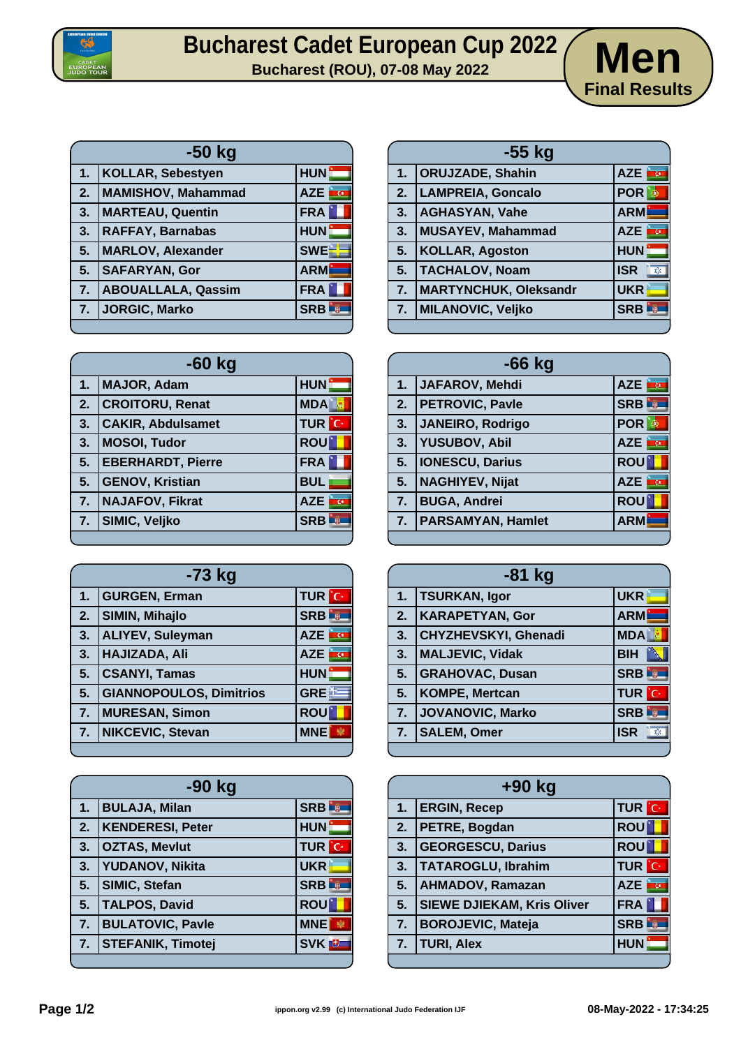

## **Bucharest Cadet European Cup 2022 Men**



| $-50$ kg |                           |                          |
|----------|---------------------------|--------------------------|
| 1.       | <b>KOLLAR, Sebestyen</b>  | HUN:                     |
| 2.       | MAMISHOV, Mahammad        | <b>i</b> G<br><b>AZE</b> |
| 3.       | <b>MARTEAU, Quentin</b>   | FRA                      |
| 3.       | <b>RAFFAY, Barnabas</b>   | <b>HUN</b>               |
| 5.       | <b>MARLOV, Alexander</b>  | <b>SWEE</b>              |
| 5.       | <b>SAFARYAN, Gor</b>      | <b>ARM</b>               |
| 7.       | <b>ABOUALLALA, Qassim</b> | <b>FRA</b>               |
| 7.       | <b>JORGIC, Marko</b>      | <b>SRB</b>               |
|          |                           |                          |

| 1. | <b>ORUJZADE, Shahin</b>      | AZE                          |
|----|------------------------------|------------------------------|
| 2. | <b>LAMPREIA, Goncalo</b>     | <b>POR</b>                   |
| 3. | <b>AGHASYAN, Vahe</b>        | <b>ARM</b>                   |
| 3. | MUSAYEV, Mahammad            | <b>AZE</b><br>$\overline{a}$ |
| 5. | <b>KOLLAR, Agoston</b>       | <b>HUN</b>                   |
| 5. | <b>TACHALOV, Noam</b>        | <b>ISR</b><br>X              |
| 7. | <b>MARTYNCHUK, Oleksandr</b> | <b>UKR</b>                   |
| 7. | MILANOVIC, Veljko            | <b>SRB</b>                   |

**-55 kg**

| $-60$ kg |                          |              |
|----------|--------------------------|--------------|
| 1.       | MAJOR, Adam              | <b>HUN</b>   |
| 2.       | <b>CROITORU, Renat</b>   | <b>MDA</b>   |
| 3.       | <b>CAKIR, Abdulsamet</b> | <b>TUR</b> C |
| 3.       | <b>MOSOI, Tudor</b>      | <b>ROU</b>   |
| 5.       | <b>EBERHARDT, Pierre</b> | <b>FRA</b>   |
| 5.       | <b>GENOV, Kristian</b>   | <b>BUL</b>   |
| 7.       | <b>NAJAFOV, Fikrat</b>   | <b>AZE</b>   |
| 7.       | SIMIC, Veljko            | <b>SRB</b>   |
|          |                          |              |

| -73 kg |                                |                                       |
|--------|--------------------------------|---------------------------------------|
| 1.     | <b>GURGEN, Erman</b>           | <b>TUR</b> C                          |
| 2.     | <b>SIMIN, Mihajlo</b>          | <b>SRB</b><br>y                       |
| 3.     | <b>ALIYEV, Suleyman</b>        | <b>AZE</b><br>$\overline{\mathbf{G}}$ |
| 3.     | HAJIZADA, Ali                  | <b>AZE</b>                            |
| 5.     | <b>CSANYI, Tamas</b>           | <b>HUN</b>                            |
| 5.     | <b>GIANNOPOULOS, Dimitrios</b> | <b>GRE</b>                            |
| 7.     | <b>MURESAN, Simon</b>          | <b>ROU</b>                            |
| 7.     | NIKCEVIC, Stevan               | <b>MNE</b>                            |
|        |                                |                                       |

| -90 kg |                          |                         |
|--------|--------------------------|-------------------------|
| 1.     | <b>BULAJA, Milan</b>     | <b>SRB</b>              |
| 2.     | <b>KENDERESI, Peter</b>  | HUN -                   |
| 3.     | <b>OZTAS, Mevlut</b>     | <b>TUR</b> C            |
| 3.     | YUDANOV, Nikita          | <b>UKR</b>              |
| 5.     | SIMIC, Stefan            | <b>SRB</b><br><b>W</b>  |
| 5.     | <b>TALPOS, David</b>     | <b>ROU</b>              |
| 7.     | <b>BULATOVIC, Pavle</b>  | <b>MNE</b>              |
| 7.     | <b>STEFANIK, Timotej</b> | <b>SVK</b> <sup>U</sup> |
|        |                          |                         |

| $-66$ kg                 |                                       |  |
|--------------------------|---------------------------------------|--|
| JAFAROV, Mehdi           | AZE <b>TO</b>                         |  |
| <b>PETROVIC, Pavle</b>   | <b>W</b><br><b>SRB</b>                |  |
| JANEIRO, Rodrigo         | <b>POR</b><br>⊕                       |  |
| <b>YUSUBOV, Abil</b>     | <mark>in</mark> g<br><b>AZE</b>       |  |
| <b>IONESCU, Darius</b>   | <b>ROU</b>                            |  |
| <b>NAGHIYEV, Nijat</b>   | <b>AZE</b><br>$\overline{\mathbf{G}}$ |  |
| <b>BUGA, Andrei</b>      | <b>ROU</b>                            |  |
| <b>PARSAMYAN, Hamlet</b> | <b>ARM</b>                            |  |
|                          |                                       |  |

| $-81$ kg       |                        |                                       |
|----------------|------------------------|---------------------------------------|
| 1 <sub>1</sub> | <b>TSURKAN, Igor</b>   | <b>UKR</b>                            |
| 2.             | <b>KARAPETYAN, Gor</b> | <b>ARM</b>                            |
| 3.             | CHYZHEVSKYI, Ghenadi   | <b>MDA</b>                            |
| 3.             | <b>MALJEVIC, Vidak</b> | <b>BIH</b>                            |
| 5.             | <b>GRAHOVAC, Dusan</b> | <b>SRB</b>                            |
| 5.             | <b>KOMPE, Mertcan</b>  | <b>TUR</b> C                          |
| 7.             | JOVANOVIC, Marko       | <b>SRB</b><br><b>E</b>                |
| 7.             | <b>SALEM, Omer</b>     | <b>ISR</b><br>$\overline{\mathbf{x}}$ |
|                |                        |                                       |

| +90 kg |                                   |               |
|--------|-----------------------------------|---------------|
| 1.     | <b>ERGIN, Recep</b>               | <b>TUR</b> C  |
| 2.     | <b>PETRE, Bogdan</b>              | <b>ROU</b>    |
| 3.     | <b>GEORGESCU, Darius</b>          | <b>ROU</b>    |
| 3.     | <b>TATAROGLU, Ibrahim</b>         | <b>TUR</b> C  |
| 5.     | <b>AHMADOV, Ramazan</b>           | AZE <b>TO</b> |
| 5.     | <b>SIEWE DJIEKAM, Kris Oliver</b> | <b>FRA</b>    |
| 7.     | <b>BOROJEVIC, Mateja</b>          | <b>SRB</b>    |
| 7.     | <b>TURI, Alex</b>                 | <b>HUN</b>    |
|        |                                   |               |